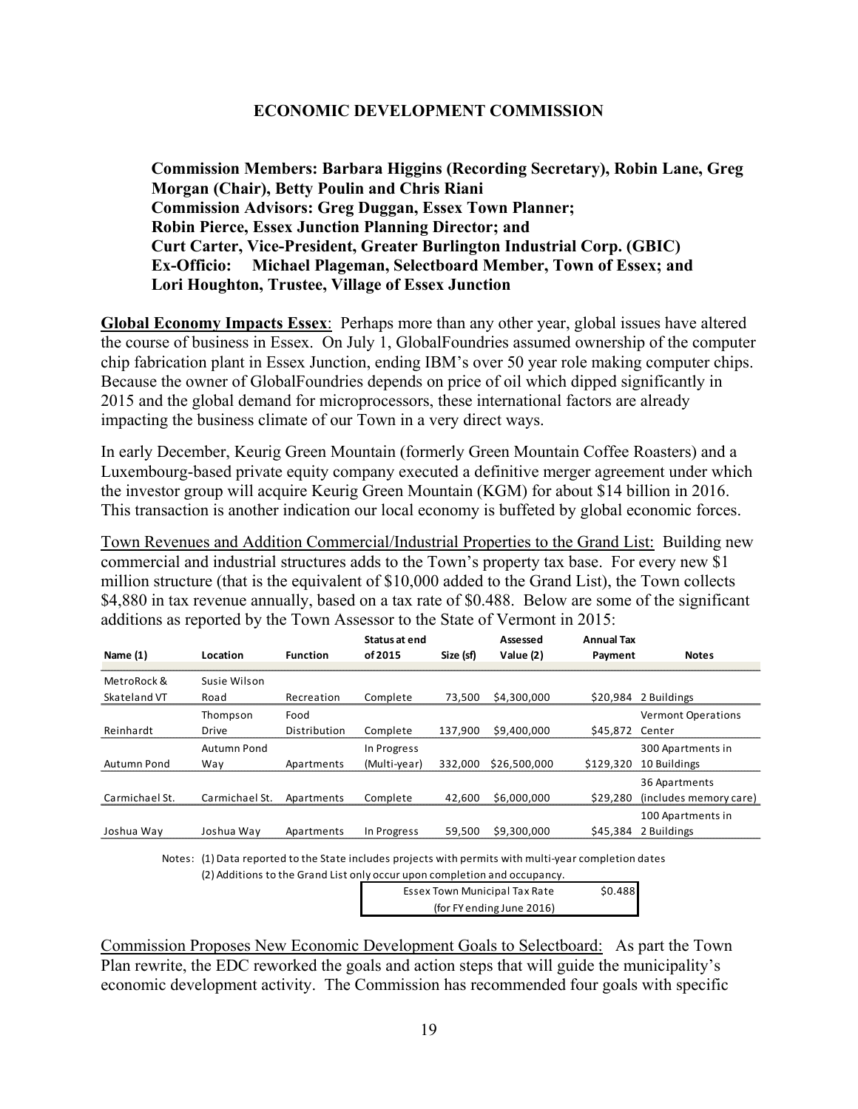## **ECONOMIC DEVELOPMENT COMMISSION**

**Commission Members: Barbara Higgins (Recording Secretary), Robin Lane, Greg Morgan (Chair), Betty Poulin and Chris Riani Commission Advisors: Greg Duggan, Essex Town Planner; Robin Pierce, Essex Junction Planning Director; and Curt Carter, Vice-President, Greater Burlington Industrial Corp. (GBIC) Ex-Officio: Michael Plageman, Selectboard Member, Town of Essex; and Lori Houghton, Trustee, Village of Essex Junction** 

**Global Economy Impacts Essex**: Perhaps more than any other year, global issues have altered the course of business in Essex. On July 1, GlobalFoundries assumed ownership of the computer chip fabrication plant in Essex Junction, ending IBM's over 50 year role making computer chips. Because the owner of GlobalFoundries depends on price of oil which dipped significantly in 2015 and the global demand for microprocessors, these international factors are already impacting the business climate of our Town in a very direct ways.

In early December, Keurig Green Mountain (formerly Green Mountain Coffee Roasters) and a Luxembourg-based private equity company executed a definitive merger agreement under which the investor group will acquire Keurig Green Mountain (KGM) for about \$14 billion in 2016. This transaction is another indication our local economy is buffeted by global economic forces.

Town Revenues and Addition Commercial/Industrial Properties to the Grand List: Building new commercial and industrial structures adds to the Town's property tax base. For every new \$1 million structure (that is the equivalent of \$10,000 added to the Grand List), the Town collects \$4,880 in tax revenue annually, based on a tax rate of \$0.488. Below are some of the significant additions as reported by the Town Assessor to the State of Vermont in 2015:

| Name (1)       | Location       | <b>Function</b> | Status at end<br>of 2015 | Size (sf) | Assessed<br>Value (2) | <b>Annual Tax</b><br>Payment | <b>Notes</b>              |
|----------------|----------------|-----------------|--------------------------|-----------|-----------------------|------------------------------|---------------------------|
| MetroRock &    | Susie Wilson   |                 |                          |           |                       |                              |                           |
| Skateland VT   | Road           | Recreation      | Complete                 | 73,500    | \$4,300,000           |                              | $$20,984$ 2 Buildings     |
|                | Thompson       | Food            |                          |           |                       |                              | <b>Vermont Operations</b> |
| Reinhardt      | <b>Drive</b>   | Distribution    | Complete                 | 137.900   | \$9,400,000           | \$45.872 Center              |                           |
|                | Autumn Pond    |                 | In Progress              |           |                       |                              | 300 Apartments in         |
| Autumn Pond    | Way            | Apartments      | (Multi-year)             | 332.000   | \$26,500,000          | \$129,320                    | 10 Buildings              |
|                |                |                 |                          |           |                       |                              | 36 Apartments             |
| Carmichael St. | Carmichael St. | Apartments      | Complete                 | 42.600    | \$6,000,000           | \$29,280                     | (includes memory care)    |
|                |                |                 |                          |           |                       |                              | 100 Apartments in         |
| Joshua Way     | Joshua Wav     | Apartments      | In Progress              | 59.500    | \$9,300,000           | \$45,384                     | 2 Buildings               |

Notes: (1) Data reported to the State includes projects with permits with multi‐year completion dates

(2) Additions to the Grand List only occur upon completion and occupancy.

| <b>Essex Town Municipal Tax Rate</b> | \$0.488 |
|--------------------------------------|---------|
| (for FY ending June 2016)            |         |

Commission Proposes New Economic Development Goals to Selectboard: As part the Town Plan rewrite, the EDC reworked the goals and action steps that will guide the municipality's economic development activity. The Commission has recommended four goals with specific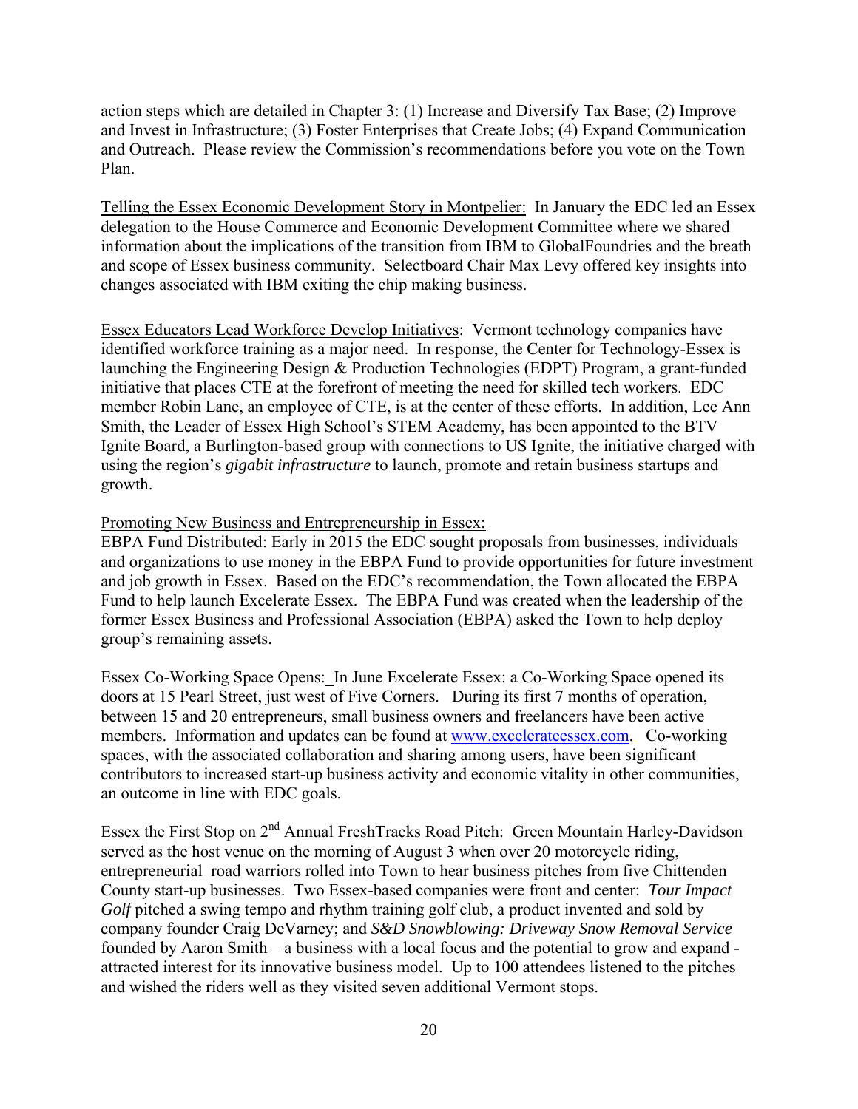action steps which are detailed in Chapter 3: (1) Increase and Diversify Tax Base; (2) Improve and Invest in Infrastructure; (3) Foster Enterprises that Create Jobs; (4) Expand Communication and Outreach. Please review the Commission's recommendations before you vote on the Town Plan.

Telling the Essex Economic Development Story in Montpelier: In January the EDC led an Essex delegation to the House Commerce and Economic Development Committee where we shared information about the implications of the transition from IBM to GlobalFoundries and the breath and scope of Essex business community. Selectboard Chair Max Levy offered key insights into changes associated with IBM exiting the chip making business.

Essex Educators Lead Workforce Develop Initiatives: Vermont technology companies have identified workforce training as a major need. In response, the Center for Technology-Essex is launching the Engineering Design & Production Technologies (EDPT) Program, a grant-funded initiative that places CTE at the forefront of meeting the need for skilled tech workers. EDC member Robin Lane, an employee of CTE, is at the center of these efforts. In addition, Lee Ann Smith, the Leader of Essex High School's STEM Academy, has been appointed to the BTV Ignite Board, a Burlington-based group with connections to US Ignite, the initiative charged with using the region's *gigabit infrastructure* to launch, promote and retain business startups and growth.

## Promoting New Business and Entrepreneurship in Essex:

EBPA Fund Distributed: Early in 2015 the EDC sought proposals from businesses, individuals and organizations to use money in the EBPA Fund to provide opportunities for future investment and job growth in Essex. Based on the EDC's recommendation, the Town allocated the EBPA Fund to help launch Excelerate Essex. The EBPA Fund was created when the leadership of the former Essex Business and Professional Association (EBPA) asked the Town to help deploy group's remaining assets.

Essex Co-Working Space Opens: In June Excelerate Essex: a Co-Working Space opened its doors at 15 Pearl Street, just west of Five Corners. During its first 7 months of operation, between 15 and 20 entrepreneurs, small business owners and freelancers have been active members. Information and updates can be found at www.excelerateessex.com. Co-working spaces, with the associated collaboration and sharing among users, have been significant contributors to increased start-up business activity and economic vitality in other communities, an outcome in line with EDC goals.

Essex the First Stop on 2<sup>nd</sup> Annual FreshTracks Road Pitch: Green Mountain Harley-Davidson served as the host venue on the morning of August 3 when over 20 motorcycle riding, entrepreneurial road warriors rolled into Town to hear business pitches from five Chittenden County start-up businesses. Two Essex-based companies were front and center: *Tour Impact Golf* pitched a swing tempo and rhythm training golf club, a product invented and sold by company founder Craig DeVarney; and *S&D Snowblowing: Driveway Snow Removal Service* founded by Aaron Smith – a business with a local focus and the potential to grow and expand attracted interest for its innovative business model. Up to 100 attendees listened to the pitches and wished the riders well as they visited seven additional Vermont stops.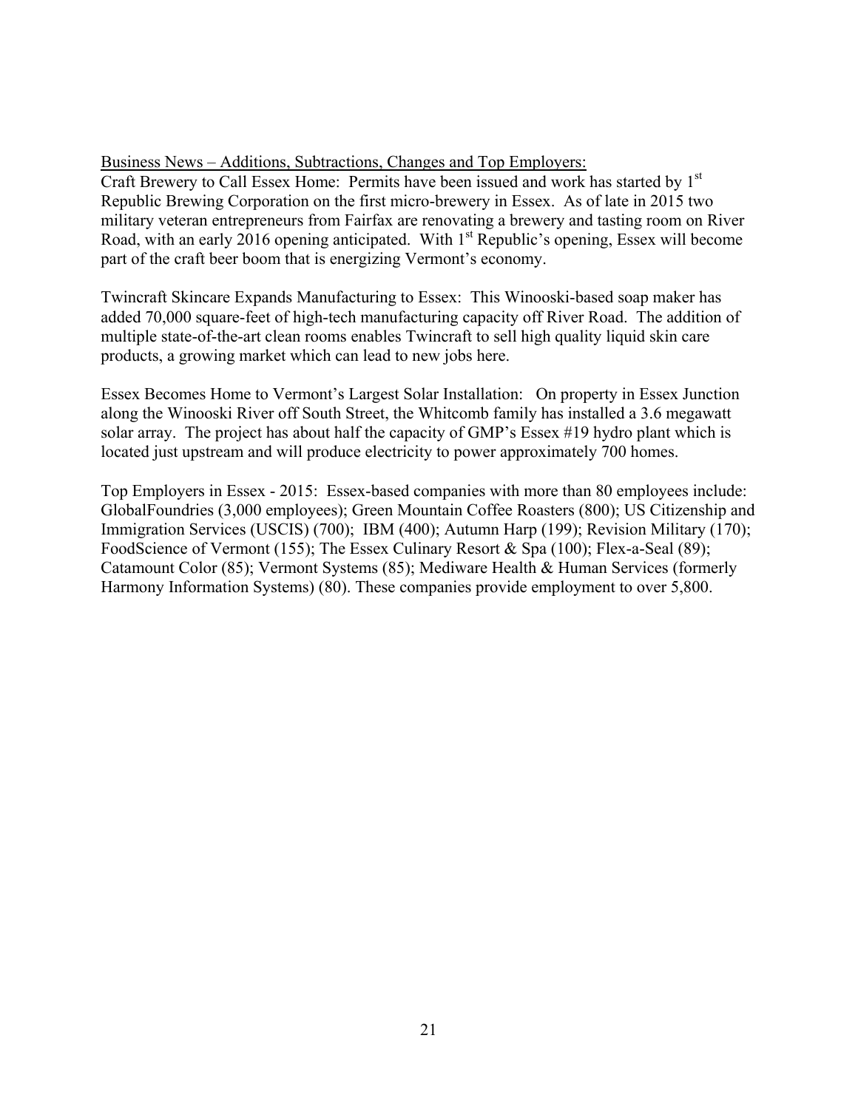## Business News – Additions, Subtractions, Changes and Top Employers:

Craft Brewery to Call Essex Home: Permits have been issued and work has started by 1<sup>st</sup> Republic Brewing Corporation on the first micro-brewery in Essex. As of late in 2015 two military veteran entrepreneurs from Fairfax are renovating a brewery and tasting room on River Road, with an early 2016 opening anticipated. With  $1<sup>st</sup>$  Republic's opening, Essex will become part of the craft beer boom that is energizing Vermont's economy.

Twincraft Skincare Expands Manufacturing to Essex: This Winooski-based soap maker has added 70,000 square-feet of high-tech manufacturing capacity off River Road. The addition of multiple state-of-the-art clean rooms enables Twincraft to sell high quality liquid skin care products, a growing market which can lead to new jobs here.

Essex Becomes Home to Vermont's Largest Solar Installation: On property in Essex Junction along the Winooski River off South Street, the Whitcomb family has installed a 3.6 megawatt solar array. The project has about half the capacity of GMP's Essex #19 hydro plant which is located just upstream and will produce electricity to power approximately 700 homes.

Top Employers in Essex - 2015: Essex-based companies with more than 80 employees include: GlobalFoundries (3,000 employees); Green Mountain Coffee Roasters (800); US Citizenship and Immigration Services (USCIS) (700); IBM (400); Autumn Harp (199); Revision Military (170); FoodScience of Vermont (155); The Essex Culinary Resort & Spa (100); Flex-a-Seal (89); Catamount Color (85); Vermont Systems (85); Mediware Health & Human Services (formerly Harmony Information Systems) (80). These companies provide employment to over 5,800.